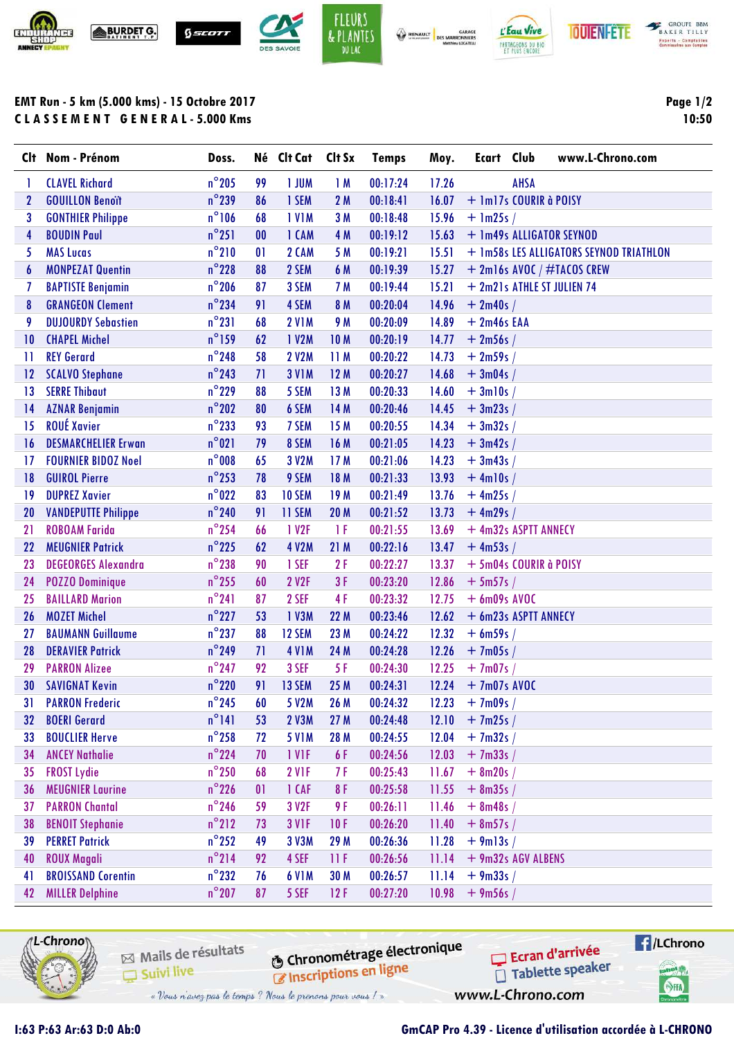





**BAKER TILLY Experts - Comptables**<br>Commissaires aux Comptas

## **EMT Run - 5 km (5.000 kms) - 15 Octobre 2017 C L A S S E M E N T G E N E R A L - 5.000 Kms**

**Page 1/2 10:50**

| Clt | Nom - Prénom               | Doss.           |    | Né Clt Cat        | Clt Sx          | <b>Temps</b> | Moy.  | Ecart          | Club                       | www.L-Chrono.com                        |
|-----|----------------------------|-----------------|----|-------------------|-----------------|--------------|-------|----------------|----------------------------|-----------------------------------------|
|     | <b>CLAVEL Richard</b>      | $n^{\circ}$ 205 | 99 | 1 JUM             | 1M              | 00:17:24     | 17.26 |                | <b>AHSA</b>                |                                         |
| 2   | <b>GOUILLON Benoït</b>     | $n^{\circ}$ 239 | 86 | 1 SEM             | 2M              | 00:18:41     | 16.07 |                | + 1m17s COURIR à POISY     |                                         |
| 3   | <b>GONTHIER Philippe</b>   | $n^{\circ}106$  | 68 | <b>IVIM</b>       | 3M              | 00:18:48     | 15.96 | $+$ 1m25s /    |                            |                                         |
| 4   | <b>BOUDIN Paul</b>         | $n^{\circ}251$  | 00 | 1 CAM             | 4 M             | 00:19:12     | 15.63 |                | + 1m49s ALLIGATOR SEYNOD   |                                         |
| 5   | <b>MAS Lucas</b>           | $n^{\circ}210$  | 01 | 2 CAM             | 5 M             | 00:19:21     | 15.51 |                |                            | + 1m58s LES ALLIGATORS SEYNOD TRIATHLON |
| 6   | <b>MONPEZAT Quentin</b>    | $n^{\circ}$ 228 | 88 | 2 SEM             | 6 M             | 00:19:39     | 15.27 |                |                            | $+$ 2m16s AVOC / #TACOS CREW            |
| 7   | <b>BAPTISTE Benjamin</b>   | $n^{\circ}$ 206 | 87 | 3 SEM             | 7 M             | 00:19:44     | 15.21 |                | + 2m21s ATHLE ST JULIEN 74 |                                         |
| 8   | <b>GRANGEON Clement</b>    | $n^{\circ}$ 234 | 91 | 4 SEM             | 8 M             | 00:20:04     | 14.96 | $+ 2m40s /$    |                            |                                         |
| 9   | <b>DUJOURDY Sebastien</b>  | $n^{\circ}231$  | 68 | <b>2 V1M</b>      | 9 M             | 00:20:09     | 14.89 | $+ 2m46s$ EAA  |                            |                                         |
| 10  | <b>CHAPEL Michel</b>       | $n^{\circ}$ 159 | 62 | 1 V2M             | <b>10M</b>      | 00:20:19     | 14.77 | $+2m56s/$      |                            |                                         |
| -11 | <b>REY Gerard</b>          | $n^{\circ}$ 248 | 58 | <b>2 V2M</b>      | 11M             | 00:20:22     | 14.73 | $+2m59s/$      |                            |                                         |
| 12  | <b>SCALVO Stephane</b>     | $n^{\circ}$ 243 | 71 | <b>3 V1M</b>      | 12M             | 00:20:27     | 14.68 | $+3m04s/$      |                            |                                         |
| 13  | <b>SERRE Thibaut</b>       | $n^{\circ}$ 229 | 88 | 5 SEM             | 13 M            | 00:20:33     | 14.60 | $+3ml0s/$      |                            |                                         |
| 14  | <b>AZNAR Benjamin</b>      | $n^{\circ}$ 202 | 80 | 6 SEM             | 14 M            | 00:20:46     | 14.45 | $+3m23s/$      |                            |                                         |
| 15  | <b>ROUÉ Xavier</b>         | $n^{\circ}$ 233 | 93 | 7 SEM             | 15 M            | 00:20:55     | 14.34 | $+3m32s/$      |                            |                                         |
| 16  | <b>DESMARCHELIER Erwan</b> | $n^{\circ}021$  | 79 | 8 SEM             | 16 M            | 00:21:05     | 14.23 | $+3m42s/$      |                            |                                         |
| 17  | <b>FOURNIER BIDOZ Noel</b> | $n^{\circ}008$  | 65 | 3 V2M             | 17 <sub>M</sub> | 00:21:06     | 14.23 | $+3m43s/$      |                            |                                         |
| 18  | <b>GUIROL Pierre</b>       | $n^{\circ}$ 253 | 78 | 9 SEM             | 18 M            | 00:21:33     | 13.93 | $+$ 4m10s /    |                            |                                         |
| 19  | <b>DUPREZ Xavier</b>       | $n^{\circ}$ 022 | 83 | 10 SEM            | 19 <sub>M</sub> | 00:21:49     | 13.76 | $+4m25s/$      |                            |                                         |
| 20  | <b>VANDEPUTTE Philippe</b> | $n^{\circ}$ 240 | 91 | 11 SEM            | <b>20 M</b>     | 00:21:52     | 13.73 | $+$ 4m29s /    |                            |                                         |
| 21  | <b>ROBOAM Farida</b>       | $n^{\circ}$ 254 | 66 | 1 V <sub>2F</sub> | 1 F             | 00:21:55     | 13.69 |                | + 4m32s ASPTT ANNECY       |                                         |
| 22  | <b>MEUGNIER Patrick</b>    | $n^{\circ}$ 225 | 62 | 4 V2M             | 21M             | 00:22:16     | 13.47 | $+$ 4m53s /    |                            |                                         |
| 23  | <b>DEGEORGES Alexandra</b> | $n^{\circ}$ 238 | 90 | 1 SEF             | 2F              | 00:22:27     | 13.37 |                | + 5m04s COURIR à POISY     |                                         |
| 24  | <b>POZZO Dominique</b>     | $n^{\circ}$ 255 | 60 | 2 V2F             | 3F              | 00:23:20     | 12.86 | $+ 5m57s/$     |                            |                                         |
| 25  | <b>BAILLARD Marion</b>     | $n^{\circ}241$  | 87 | 2 SEF             | 4F              | 00:23:32     | 12.75 | $+$ 6m09s AVOC |                            |                                         |
| 26  | <b>MOZET Michel</b>        | $n^{\circ}$ 227 | 53 | 1 V3M             | 22 M            | 00:23:46     | 12.62 |                | + 6m23s ASPTT ANNECY       |                                         |
| 27  | <b>BAUMANN Guillaume</b>   | $n^{\circ}$ 237 | 88 | 12 SEM            | 23 M            | 00:24:22     | 12.32 | $+ 6m59s/$     |                            |                                         |
| 28  | <b>DERAVIER Patrick</b>    | $n^{\circ}$ 249 | 71 | <b>4 V1M</b>      | 24 M            | 00:24:28     | 12.26 | $+7m05s/$      |                            |                                         |
| 29  | <b>PARRON Alizee</b>       | $n^{\circ}$ 247 | 92 | 3 SEF             | 5F              | 00:24:30     | 12.25 | $+7m07s/$      |                            |                                         |
| 30  | <b>SAVIGNAT Kevin</b>      | $n^{\circ}$ 220 | 91 | 13 SEM            | 25 M            | 00:24:31     | 12.24 | $+7m07s$ AVOC  |                            |                                         |
| 31  | <b>PARRON Frederic</b>     | $n^{\circ}$ 245 | 60 | 5 V2M             | 26 M            | 00:24:32     | 12.23 | $+7m09s/$      |                            |                                         |
| 32  | <b>BOERI Gerard</b>        | $n^{\circ}$ 141 | 53 | 2 V3M             | 27 M            | 00:24:48     | 12.10 | $+7m25s/$      |                            |                                         |
| 33  | <b>BOUCLIER Herve</b>      | $n^{\circ}$ 258 | 72 | <b>5 V1M</b>      | 28 M            | 00:24:55     | 12.04 | $+7m32s/$      |                            |                                         |
| 34  | <b>ANCEY Nathalie</b>      | $n^{\circ}$ 224 | 70 | 1 VIF             | 6 F             | 00:24:56     | 12.03 | $+7m33s/$      |                            |                                         |
| 35  | <b>FROST Lydie</b>         | $n^{\circ}$ 250 | 68 | <b>2 V1F</b>      | 7 F             | 00:25:43     | 11.67 | $+ 8m20s /$    |                            |                                         |
| 36  | <b>MEUGNIER Laurine</b>    | $n^{\circ}$ 226 | 01 | 1 CAF             | 8 F             | 00:25:58     | 11.55 | $+ 8m35s/$     |                            |                                         |
| 37  | <b>PARRON Chantal</b>      | $n^{\circ}$ 246 | 59 | 3 V2F             | 9 F             | 00:26:11     | 11.46 | $+8m48s/$      |                            |                                         |
| 38  | <b>BENOIT Stephanie</b>    | $n^{\circ}$ 212 | 73 | 3 VIF             | 10F             | 00:26:20     | 11.40 | $+ 8m57s/$     |                            |                                         |
| 39  | <b>PERRET Patrick</b>      | $n^{\circ}$ 252 | 49 | 3 V3M             | 29 M            | 00:26:36     | 11.28 | $+9m13s/$      |                            |                                         |
| 40  | <b>ROUX Magali</b>         | $n^{\circ}$ 214 | 92 | 4 SEF             | 11 F            | 00:26:56     | 11.14 |                | + 9m32s AGV ALBENS         |                                         |
| 41  | <b>BROISSAND Corentin</b>  | $n^{\circ}$ 232 | 76 | <b>6 V1M</b>      | 30 M            | 00:26:57     | 11.14 | $+9m33s/$      |                            |                                         |
| 42  | <b>MILLER Delphine</b>     | $n^{\circ}$ 207 | 87 | 5 SEF             | 12F             | 00:27:20     | 10.98 | $+9m56s/$      |                            |                                         |